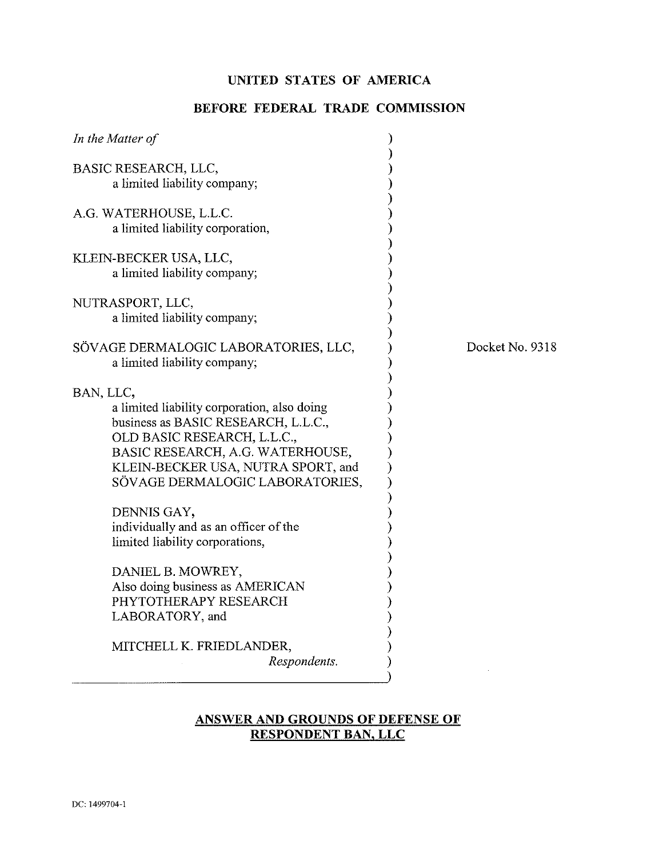# **UNITED STATES OF AMERICA**

### **BEFORE FEDERAL TRADE COMMISSION**

| In the Matter of                                                                                                                                                                                                                            |                 |
|---------------------------------------------------------------------------------------------------------------------------------------------------------------------------------------------------------------------------------------------|-----------------|
| BASIC RESEARCH, LLC,<br>a limited liability company;                                                                                                                                                                                        |                 |
| A.G. WATERHOUSE, L.L.C.<br>a limited liability corporation,                                                                                                                                                                                 |                 |
| KLEIN-BECKER USA, LLC,<br>a limited liability company;                                                                                                                                                                                      |                 |
| NUTRASPORT, LLC,<br>a limited liability company;                                                                                                                                                                                            |                 |
| SÖVAGE DERMALOGIC LABORATORIES, LLC,<br>a limited liability company;                                                                                                                                                                        | Docket No. 9318 |
| BAN, LLC,<br>a limited liability corporation, also doing<br>business as BASIC RESEARCH, L.L.C.,<br>OLD BASIC RESEARCH, L.L.C.,<br>BASIC RESEARCH, A.G. WATERHOUSE,<br>KLEIN-BECKER USA, NUTRA SPORT, and<br>SÖVAGE DERMALOGIC LABORATORIES, |                 |
| DENNIS GAY,<br>individually and as an officer of the<br>limited liability corporations,                                                                                                                                                     |                 |
| DANIEL B. MOWREY,<br>Also doing business as AMERICAN<br>PHYTOTHERAPY RESEARCH<br>LABORATORY, and                                                                                                                                            |                 |
| MITCHELL K. FRIEDLANDER,<br>Respondents.                                                                                                                                                                                                    |                 |

### **ANSWER AND GROUNDS OF DEFENSE OF RESPONDENT BAN, LLC**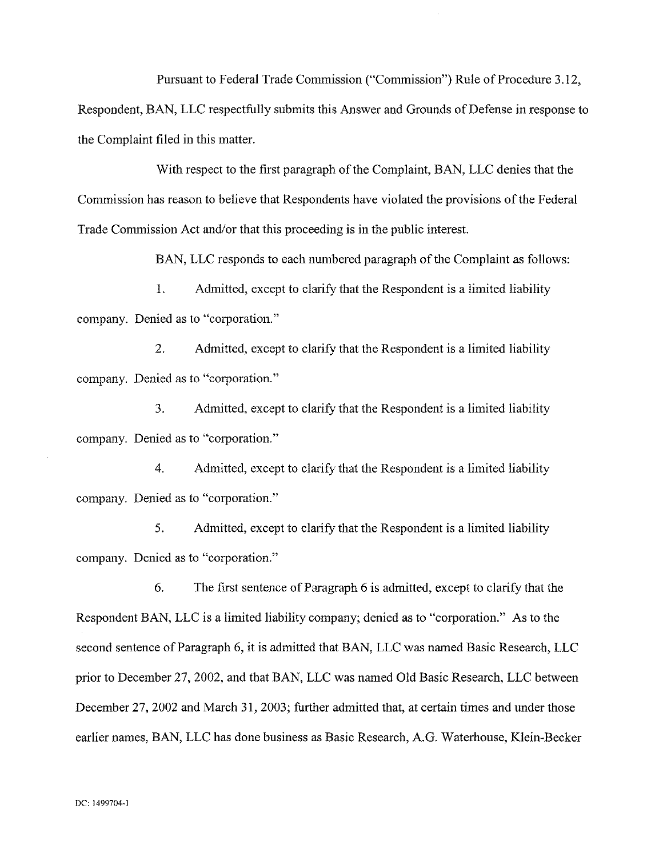Pursuant to Federal Trade Commission ("Commission") Rule of Procedure 3.12,

Respondent, BAN, LLC respectfully submits this Answer and Grounds of Defense in response to the Complaint filed in this matter.

With respect to the first paragraph of the Complaint, BAN, LLC denies tbat the Commission has reason to believe that Respondents have violated the provisions of the Federal Trade Commission Act and/or that this proceeding is in the public interest.

BAN, LLC responds to each numbered paragraph of the Complaint as follows:

1. Admitted, except to clarify that the Respondent is a limited liability company. Denied as to "corporation."

2. Admitted, except to clarify that the Respondent is a limited liability company. Denied as to "corporation."

3. Admitted, except to clarify that the Respondent is a limited liability company. Denied as to "corporation."

4. Admitted, except to clarify that the Respondent is a limited liability company. Denied as to "corporation."

5. Admitted, except to clarify that the Respondent is a limited liability company. Denied as to "corporation."

*6.* The first sentence of Paragraph 6 is admitted, except to clarify that the Respondent BAN, LLC is a limited liability company; denied as to "corporation." As to the second sentence of Paragraph 6, it is admitted that BAN, LLC was named Basic Research, LLC prior to December 27,2002, and tbat BAN, LLC was named Old Basic Research, LLC between December 27, 2002 and March 31, 2003; further admitted that, at certain times and under those earlier names, BAN, LLC has done business as Basic Research, A.G. Waterhouse, Klein-Becker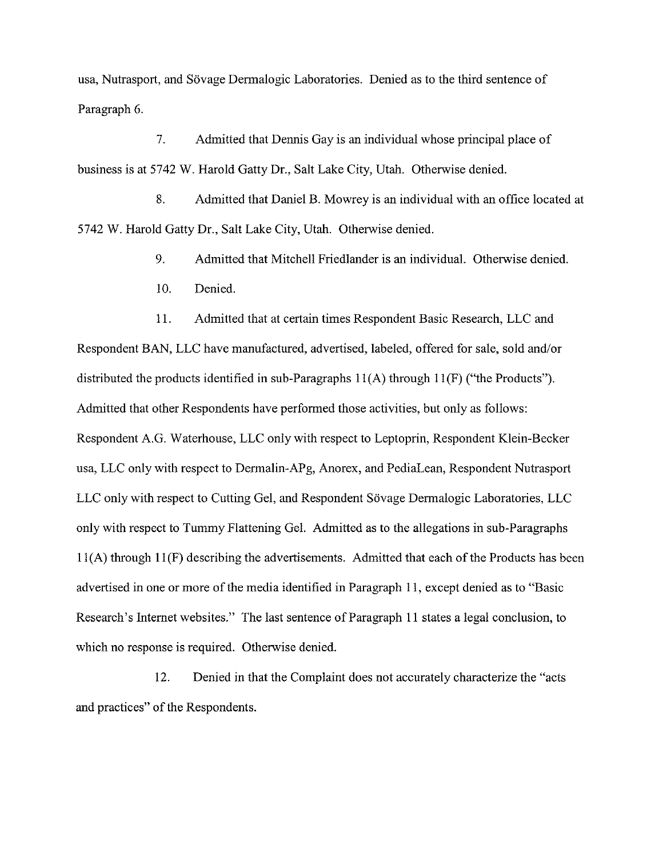usa, Nutrasport, and Sovage Dermalogic Laboratories. Denied as to the third sentence of Paragraph *6.* 

7. Admitted that Dennis Gay is an individual whose principal place of business is at 5742 W. Harold Gatty Dr., Salt Lake City, Utah. Otherwise denied.

8. Admitted that Daniel B. Mowrey is an individual with an office located at 5742 W. Harold Gatty Dr., Salt Lake City, Utah. Otherwise denied.

9. Admitted that Mitchell Friedlander is an individual. Otherwise denied.

10. Denied.

11. Admitted that at certain times Respondent Basic Research, LLC and Respondent BAN, LLC have manufactured, advertised, labeled, offered for sale, sold and/or distributed the products identified in sub-Paragraphs 11(A) through 11(F) ("the Products"). Admitted that other Respondents have performed those activities, but only as follows: Respondent A.G. Waterhouse, LLC only with respect to Leptoprin, Respondent Klein-Becker usa, LLC only with respect to Dermalin-APg, Anorex, and PediaLean, Respondent Nutrasport LLC only with respect to Cutting Gel, and Respondent Sovage Dermalogic Laboratories, LLC only with respect to Tummy Flattening Gel. Admitted as to the allegations in sub-paragraphs 11(A) through 11(F) describing the advertisements. Admitted that each of the Products has been advertised in one or more of the media identified in Paragraph I I, except denied as to "Basic Research's Internet websites." The last sentence of Paragraph 11 states a legal conclusion, to which no response is required. Otherwise denied.

12. Denied in that the Complaint does not accurately characterize the "acts and practices" of the Respondents.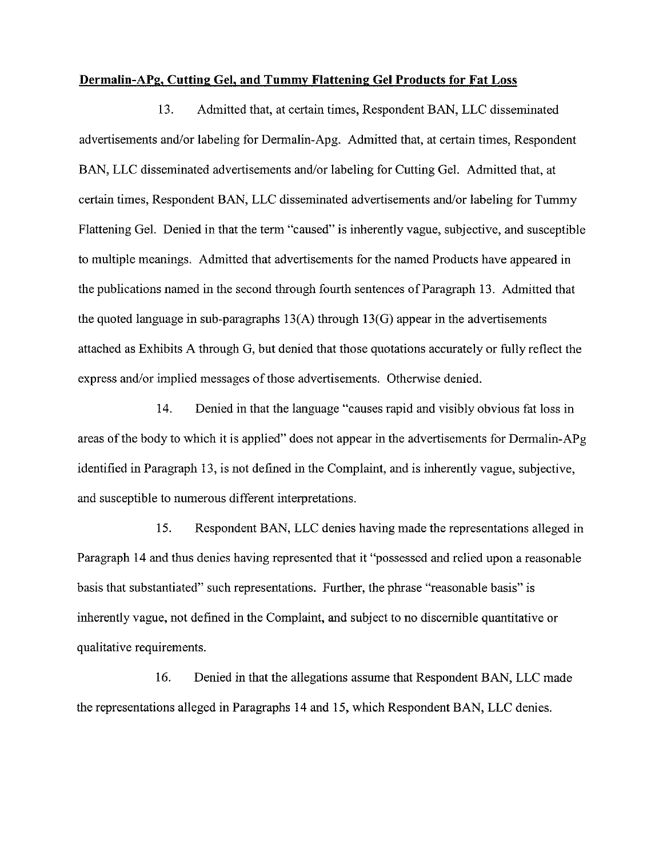#### **Dermalin-APg, Cutting Gel, and Tummy Flattening Gel Products for Fat Loss**

13. Admitted that, at certain times, Respondent BAN, LLC disseminated advertisements and/or labeling for Dermalin-Apg. Admitted that, at certain times, Respondent BAN, LLC disseminated advertisements and/or labeling for Cutting Gel. Admitted that, at certain times, Respondent BAN, LLC disseminated advertisements and/or labeling for Tummy Flattening Gel. Denied in that the term "caused" is inherently vague, subjective, and susceptible to multiple meanings. Admitted that advertisements for the named Products have appeared in the publications named in the second through fourth sentences of Paragraph 13. Admitted that the quoted language in sub-paragraphs  $13(A)$  through  $13(G)$  appear in the advertisements attached as Exhibits A through G, but denied that those quotations accurately or fully reflect the express and/or implied messages of those advertisements. Otherwise denied.

14. Denied in that the language "causes rapid and visibly obvious fat loss in areas of the body to which it is applied" does not appear in the advertisements for Dermalin-APg identified in Paragraph 13, is not defined in the Complaint, and is inherently vague, subjective, and susceptible to numerous different interpretations.

15. Respondent BAN, LLC denies having made the representations alleged in Paragraph 14 and thus denies having represented that it "possessed and relied upon a reasonable basis that substantiated" such representations. Further, the phrase "reasonable basis" is inherently vague, not defined in the Complaint, and subject to no discernible quantitative or qualitative requirements.

16. Denied in that the allegations assume that Respondent BAN, LLC made the representations alleged in Paragraphs 14 and 15, which Respondent BAN, LLC denies.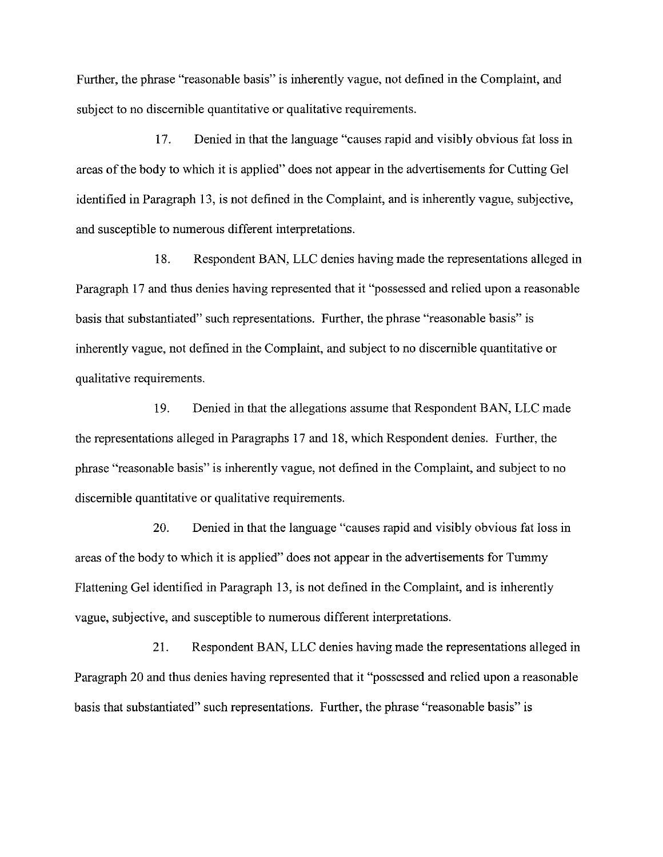Further, the phrase "reasonable basis" is inherently vague, not defined in the Complaint, and subject to no discernible quantitative or qualitative requirements.

17. Denied in that the language "causes rapid and visibly obvious fat loss in areas of the body to which it is applied" does not appear in the advertisements for Cutting Gel identified in Paragraph 13, is not defined in the Complaint, and is inherently vague, subjective, and susceptible to numerous different interpretations.

18. Respondent BAN, LLC denies having made the representations alleged in Paragraph 17 and thus denies having represented that it "possessed and relied upon a reasonable basis that substantiated" such representations. Further, the phrase "reasonable basis" is inherently vague, not defined in the Complaint, and subject to no discernible quantitative or qualitative requirements.

19. Denied in that the allegations assume that Respondent BAN, LLC made the representations alleged in Paragraphs 17 and 18, which Respondent denies. Further, the phrase "reasonable basis" is inherently vague, not defined in the Complaint, and subject to no discernible quantitative or qualitative requirements.

20. Denied in that the language "causes rapid and visibly obvious fat loss in areas of the body to which it is applied" does not appear in the advertisements for Tummy Flattening Gel identified in Paragraph 13, is not defined in the Complaint, and is inherently vague, subjective, and susceptible to numerous different interpretations.

21. Respondent BAN, LLC denies having made the representations alleged in Paragraph 20 and thus denies having represented that it "possessed and relied upon a reasonable basis that substantiated" such representations. Further, the phrase "reasonable basis" is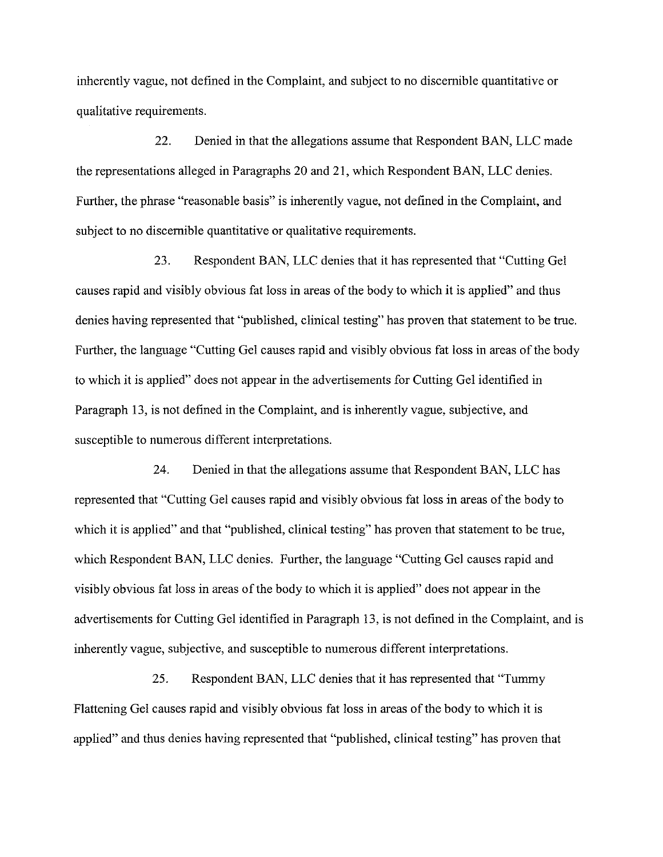inherently vague, not defined in the Complaint, and subject to no discernible quantitative or qualitative requirements.

22. Denied in that the allegations assume that Respondent BAN, LLC made the representations alleged in Paragraphs 20 and 21, which Respondent BAN, LLC denies. Further, the phrase "reasonable basis" is inherently vague, not defined in the Complaint, and subject to no discernible quantitative or qualitative requirements.

23. Respondent BAN, LLC denies that it has represented that "Cutting Gel causes rapid and visibly obvious fat loss in areas of the body to which it is applied" and thus denies having represented that "published, clinical testing" has proven that statement to be true. Further, the language "Cutting Gel causes rapid and visibly obvious fat loss in areas of the body to which it is applied" does not appear in the advertisements for Cutting Gel identified in Paragraph 13, is not defined in the Complaint, and is inherently vague, subjective, and susceptible to numerous different interpretations.

24. Denied in that the allegations assume that Respondent BAN, LLC has represented that "Cutting Gel causes rapid and visibly obvious fat loss in areas of the body to which it is applied" and that "published, clinical testing" has proven that statement to be true, which Respondent BAN, LLC denies. Further, the language "Cutting Gel causes rapid and visibly obvious fat loss in areas of the body to which it is applied" does not appear in the advertisements for Cutting Gel identified in Paragraph 13, is not defined in the Complaint, and is inherently vague, subjective, and susceptible to numerous different interpretations.

25. Respondent BAN, LLC denies that it has represented that "Tummy Flattening Gel causes rapid and visibly obvious fat loss in areas of the body to which it is applied" and thus denies having represented that "published, clinical testing" has proven that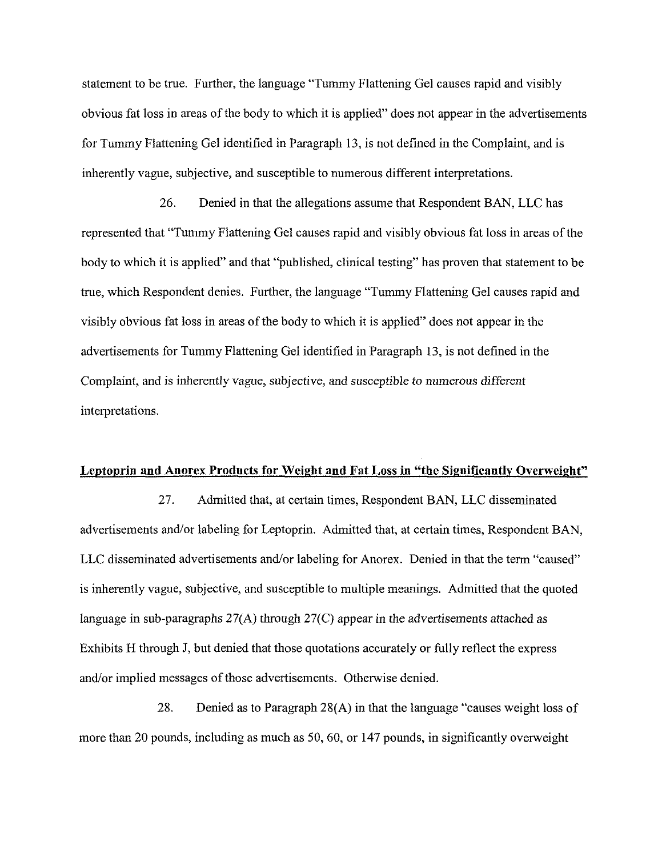statement to be true. Further, the language "Tummy Flattening Gel causes rapid and visibly obvious fat loss in areas of the body to which it is applied" does not appear in the advertisements for Tummy Flattening Gel identified in Paragraph 13, is not defined in the Complaint, and is inherently vague, subjective, and susceptible to numerous different interpretations.

26. Denied in that the allegations assume that Respondent BAN, LLC has represented that "Tummy Flattening Gel causes rapid and visibly obvious fat loss in areas of the body to which it is applied" and that "published, clinical testing" has proven that statement to be true, which Respondent denies. Further, the language "Tummy Flattening Gel causes rapid and visibly obvious fat loss in areas of the body to which it is applied" does not appear in the advertisements for Tummy Flattening Gel identified in Paragraph 13, is not defined in the Complaint, and is inherently vague, subjective, and susceptible to numerous different interpretations.

#### **Leptoprin and Anorex Products for Weight and Fat Loss in "the Significantly Overweight"**

27. Admitted that, at certain times, Respondent BAN, LLC disseminated advertisements and/or labeling for Leptoprin. Admitted that, at certain times, Respondent BAN, LLC disseminated advertisements and/or labeling for Anorex. Denied in that the term "caused" is inherently vague, subjective, and susceptible to multiple meanings. Admitted that the quoted language in sub-paragraphs 27(A) through 27(C) appear in the advertisements attached as Exhibits H through J, but denied that those quotations accurately or fully reflect the express and/or implied messages of those advertisements. Otherwise denied.

28. Denied as to Paragraph 28(A) in that the language "causes weight loss of more than 20 pounds, including as much as 50,60, or 147 pounds, in significantly overweight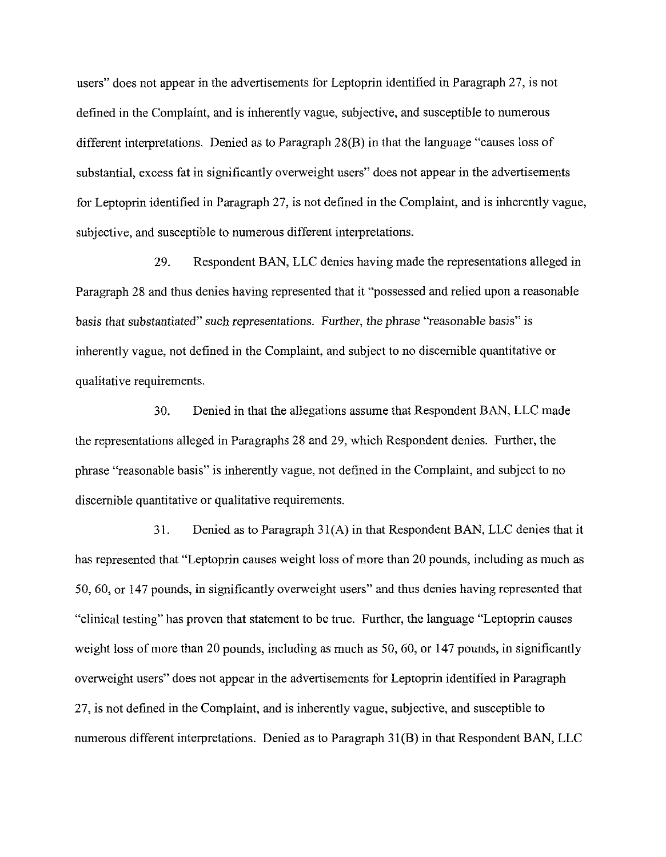users" does not appear in the advertisements for Leptoprin identified in Paragraph 27, is not defined in the Complaint, and is inherently vague, subjective, and susceptible to numerous different interpretations. Denied as to Paragraph 28(B) in that the language "causes loss of substantial, excess fat in significantly overweight users" does not appear in the advertisements for Leptoprin identified in Paragraph 27, is not defined in the Complaint, and is inherently vague, subjective, and susceptible to numerous different interpretations.

29. Respondent BAN, LLC denies having made the representations alleged in Paragraph 28 and thus denies having represented that it "possessed and relied upon a reasonable basis that substantiated" such representations. Further, the phrase "reasonable basis" is inherently vague, not defined in the Complaint, and subject to no discernible quantitative or qualitative requirements.

30. Denied in that the allegations assume that Respondent BAN, LLC made the representations alleged in Paragraphs 28 and 29, which Respondent denies. Further, the phrase "reasonable basis" is inherently vague, not defined in the Complaint, and suhject to no discernible quantitative or qualitative requirements.

31. Denied as to Paragraph 31(A) in that Respondent BAN, LLC denies that it has represented that "Leptoprin causes weight loss of more than 20 pounds, including as much as 50,60, or 147 pounds, in significantly overweight users" and thus denies having represented that "clinical testing" has proven that statement to be true. Further, the language "Leptoprin causes weight loss of more than 20 pounds, including as much as 50, 60, or 147 pounds, in significantly overweight users" does not appear in the advertisements for Leptoprin identified in Paragraph 27, is not defined in the Complaint, and is inherently vague, suhjective, and susceptible to numerous different interpretations. Denied as to Paragraph 31(B) in that Respondent BAN, LLC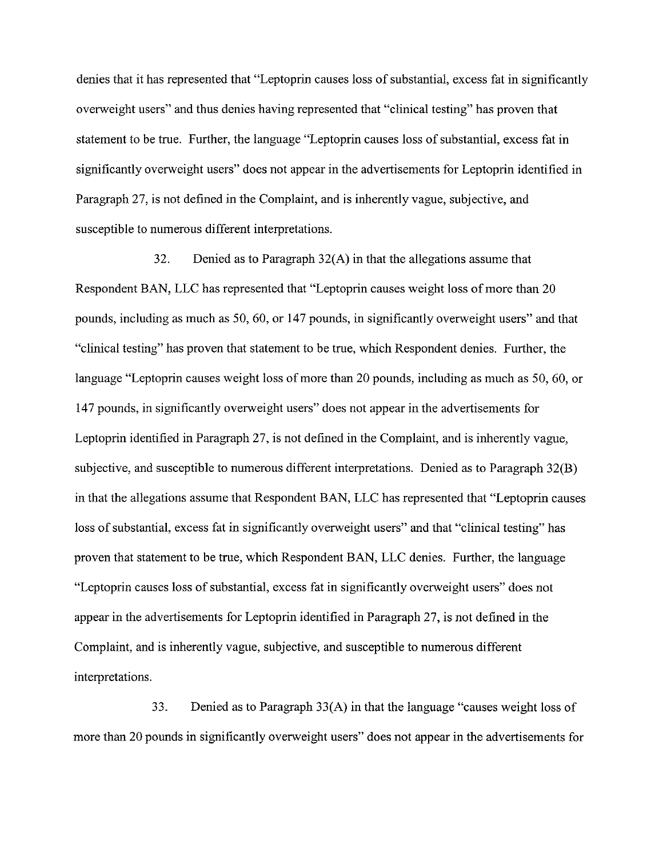denies that it has represented that "Leptoprin causes loss of substantial, excess fat in significantly overweight users" and thus denies having represented that "clinical testing" has proven that statement to be true. Further, the language "Leptoprin causes loss of substantial, excess fat in significantly overweight users" does not appear in the advertisements for Leptoprin identified in Paragraph **27,** is not defined in the Complaint, and is inherently vague, subjective, and susceptible to numerous different interpretations.

**32.** Denied as to Paragraph **32(A)** in that the allegations assume that Respondent **BAN,** LLC has represented that "Leptoprin causes weight loss of more than **20**  pounds, including as much as **50,60,** or **147** pounds, in significantly overweight users" and that "clinical testing" has proven that statement to he true, which Respondent denies. Further, the language "Leptoprin causes weight loss of more than **20** pounds, including as much as **50,60,** or **147** pounds, in significantly overweight users" does not appear in the advertisements for Leptoprin identified in Paragraph **27,** is not defined in the Complaint, and is inherently vague, subjective, and susceptible to numerous different interpretations. Denied as to Paragraph **32(B)**  in that the allegations assume that Respondent **BAN,** LLC has represented that "Leptoprin causes loss of substantial, excess fat in significantly overweight users" and that "clinical testing" has proven that statement to be true, which Respondent **BAN,** LLC denies. Further, the language "Leptoprin causes loss of substantial, excess fat in significantly overweight users" does not appear in the advertisements for Leptoprin identified in Paragraph **27,** is not defined in the Complaint, and is inherently vague, subjective, and susceptible to numerous different interpretations.

**33.** Denied as to Paragraph **33(A)** in that the language "causes weight loss of more than **20** pounds in significantly overweight users" does not appear in the advertisements for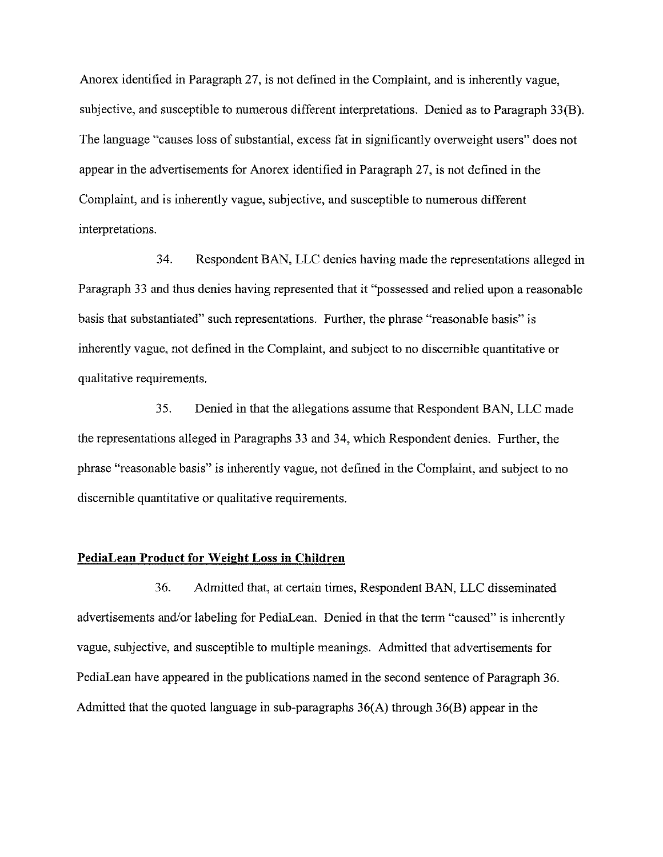Anorex identified in Paragraph 27, is not defined in the Complaint, and is inherently vague, subjective, and susceptible to numerous different interpretations. Denied as to Paragraph 33(B). The language "causes loss of substantial, excess fat in significantly overweight users" does not appear in the advertisements for Anorex identified in Paragraph 27, is not defined in the Complaint, and is inherently vague, subjective, and susceptible to numerous different interpretations.

34. Respondent BAN, LLC denies having made the representations alleged in Paragraph 33 and thus denies having represented that it "possessed and relied upon a reasonable basis that substantiated" such representations. Further, the phrase "reasonable basis" is inherently vague, not defined in the Complaint, and subject to no discernible quantitative or qualitative requirements.

35. Denied in that the allegations assume that Respondent BAN, LLC made the representations alleged in Paragraphs 33 and 34, which Respondent denies. Further, the phrase "reasonable basis" is inherently vague, not defined in the Complaint, and subject to no discernible quantitative or qualitative requirements.

#### **PediaLean Product for Weight Loss in Children**

36. Admitted that, at certain times, Respondent BAN, LLC disseminated advertisements and/or labeling for PediaLean. Denied in that the term "caused" is inherently vague, subjective, and susceptible to multiple meanings. Admitted that advertisements for PediaLean have appeared in the publications named in the second sentence of Paragraph 36. Admitted that the quoted language in sub-paragraphs  $36(A)$  through  $36(B)$  appear in the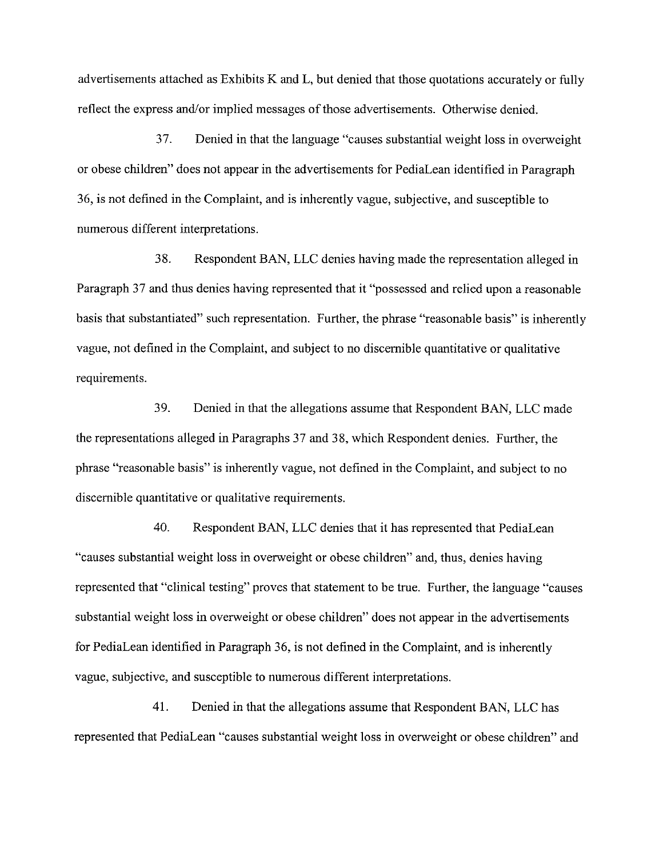*advertisements attached as Exhibits K and L, but denied that those quotations accurately or fully*  reflect the express and/or implied messages of those advertisements. Otherwise denied.

37. *Denied in that the language "causes substantial weight loss in overweight or obese children" does not appear in the advertisements for PediaLean identified in Paragraph*  36, *is not defined in the Complaint, and is inherently vague, subjective, and susceptible to numerous different interpretations.* 

38. *Respondent* **BAN,** *LLC denies having made the representation alleged in Paragraph* 37 *and thus denies having represented that it "possessed and relied upon a reasonable basis that substantiated" such representation. Further, the phrase "reasonable basis" is inherently vague, not defined in the Complaint, and subject to no discernible quantitative or qualitative requirements.* 

39. *Denied in that the allegations assume that Respondent* **BAN,** *LLC made the representations alleged in Paragraphs* 37 *and* 38, *which Respondent denies. Further, the phrase "reasonable basis" is inherently vague, not defined in the Complaint, and subject to no discernible quantitative or qualitative requirements.* 

40. *Respondent* **BAN,** *LLC denies that it has represented that PediaLean "causes substantial weight loss in overweight or obese children" and, thus, denies having represented that "clinical testing" proves that statement to be true. Further, the language "causes substantial weight loss in overweight or obese children" does not appear in the advertisements for PediaLean identified in Paragraph* 36, *is not defined in the Complaint, and is inherently vague, subjective, and susceptible to numerous different interpretations.* 

41. *Denied in that the allegations assume that Respondent* **BAN,** *LLC has represented that PediaLean "causes substantial weight loss in overweight or obese children" and*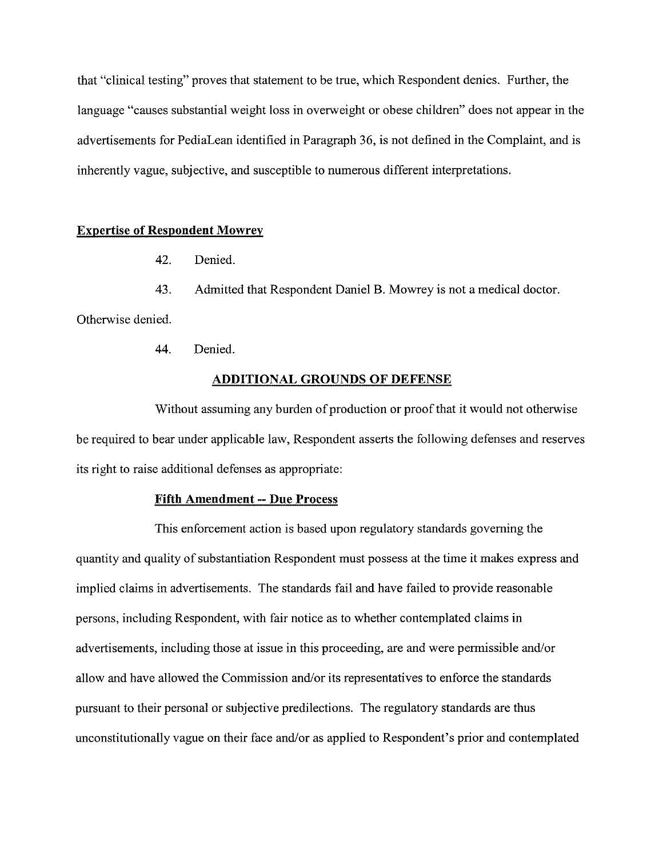that "clinical testing" proves that statement to be true, which Respondent denies. Further, the language "causes substantial weight loss in overweight or obese children" does not appear in the advertisements for PediaLean identified in Paragraph 36, is not defined in the Complaint, and is inherently vague, subjective, and susceptible to numerous different interpretations.

### **Expertise of Respondent Mowrev**

42. Denied.

43. Admitted that Respondent Daniel B. Mowrey is not a medical doctor.

Otherwise denied.

44. Denied.

#### **ADDITIONAL GROUNDS OF DEFENSE**

Without assuming any burden of production or proof that it would not otherwise be required to hear under applicable law, Respondent asserts the following defenses and reserves its right to raise additional defenses as appropriate:

#### **Fifth Amendment** -- **Due Process**

This enforcement action is based upon regulatory standards governing the quantity and quality of substantiation Respondent must possess at the time it makes express and implied claims in advertisements. The standards fail and have failed to provide reasonable persons, including Respondent, with fair notice as to whether contemplated claims in advertisements, including those at issue in this proceeding, are and were permissible and/or allow and have allowed the Commission and/or its representatives to enforce the standards pursuant to their personal or subjective predilections. The regulatory standards are thus unconstitutionally vague on their face and/or as applied to Respondent's prior and contemplated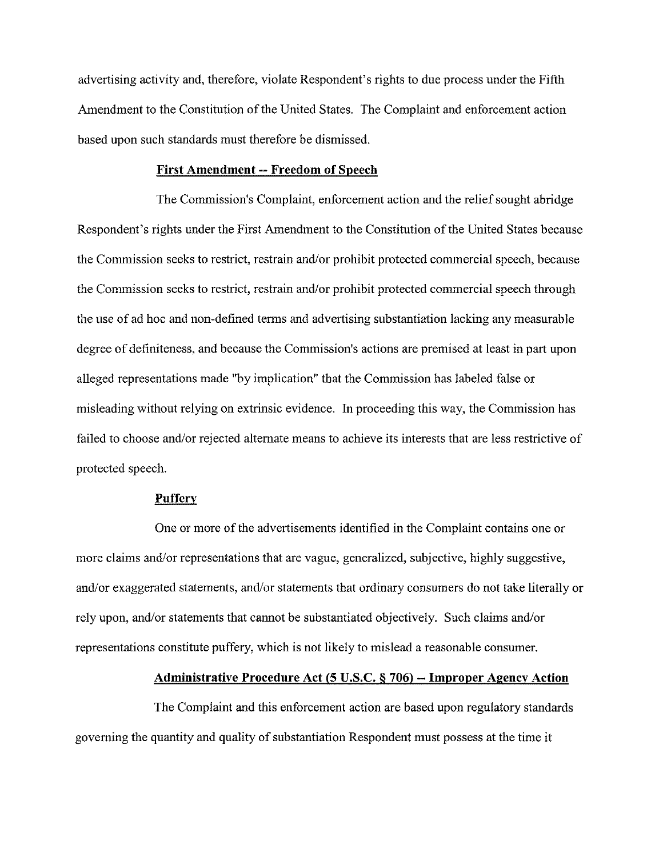advertising activity and, therefore, violate Respondent's rights to due process under the Fifth Amendment to the Constitution of the United States. The Complaint and enforcement action based upon such standards must therefore be dismissed.

#### **First Amendment** -- **Freedom of Speech**

The Commission's Complaint, enforcement action and the relief sought abridge Respondent's rights under the First Amendment to the Constitution of the United States because the Commission seeks to restrict, restrain and/or prohibit protected commercial speech, because the Commission seeks to restrict, restrain and/or prohibit protected commercial speech through the use of ad hoc and non-defined terms and advertising substantiation lacking any measurable degree of definiteness, and because the Commission's actions are premised at least in part upon alleged representations made "by implication" that the Commission has labeled false or misleading without relying on extrinsic evidence. In proceeding this way, the Commission has failed to choose and/or rejected alternate means to achieve its interests that are less restrictive of protected speech.

#### **Puffery**

One or more of the advertisements identified in the Complaint contains one or more claims and/or representations that are vague, generalized, subjective, highly suggestive, and/or exaggerated statements, and/or statements that ordinary consumers do not take literally or rely upon, and/or statements that cannot be substantiated objectively. Such claims and/or representations constitute puffery, which is not likely to mislead a reasonable consumer.

#### **Administrative Procedure Act (5 U.S.C. § 706) – Improper Agency Action**

The Complaint and this enforcement action are based upon regulatory standards governing the quantity and quality of substantiation Respondent must possess at the time it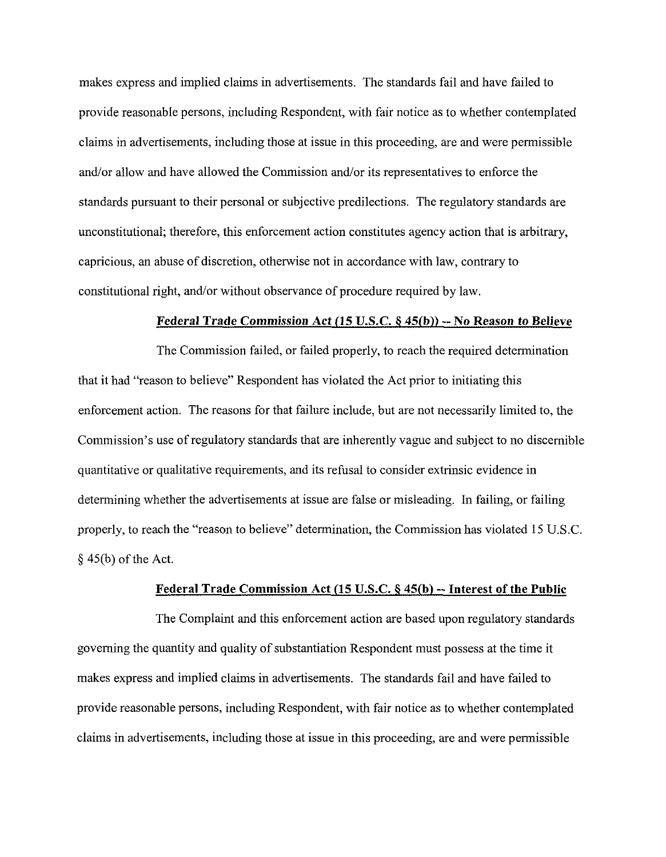makes express and implied claims in advertisements. The standards fail and have failed to provide reasonable persons, including Respondent, with fair notice as to whether contemplated claims in advertisements, including those at issue in this proceeding, are and were permissible and/or allow and have allowed the Commission and/or its representatives to enforce the standards pursuant to their personal or subjective predilections. The regulatory standards are unconstitutional; therefore, this enforcement action constitutes agency action that is arbitrary, capricious, an abuse of discretion, otherwise not in accordance with law, contrary to constitutional right, and/or without observance of procedure required by law.

#### **Federal Trade Commission Act (15 U.S.C. 8 45(b))** -- **No Reason to Believe**

The Commission failed, or failed properly, to reach the required determination that it had "reason to believe" Respondent has violated the Act prior to initiating this enforcement action. The reasons for that failure include, hut are not necessarily limited to, the Commission's use of regulatory standards that are inherently vague and subject to no discernible quantitative or qualitative requirements, and its refusal to consider extrinsic evidence in determining whether the advertisements at issue are false or misleading. In failing, or failing properly, to reach the "reason to believe" determination, the Commission has violated 15 U.S.C. *5* 45@) of the Act.

#### **Federal Trade Commission Act (15 U.S.C. § 45(b) -- Interest of the Public**

The Complaint and this enforcement action are based upon regulatory standards governing the quantity and quality of substantiation Respondent must possess at the time it makes express and implied claims in advertisements. The standards fail and have failed to provide reasonable persons, including Respondent, with fair notice as to whether contemplated claims in advertisements, including those at issue in this proceeding, are and were permissible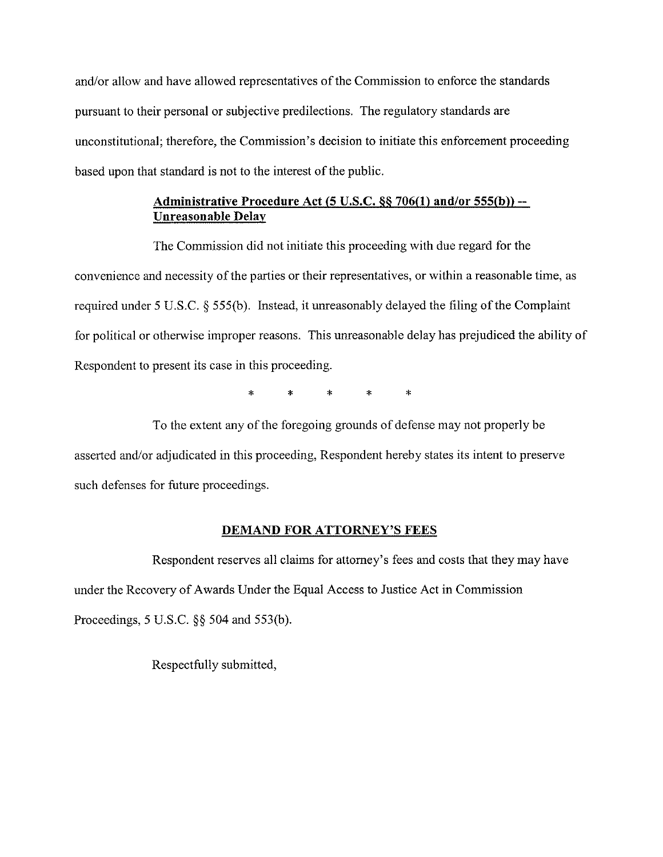and/or allow and have allowed representatives of the Commission to enforce the standards pursuant to their personal or subjective predilections. The regulatory standards are unconstitutional; therefore, the Commission's decision to initiate this enforcement proceeding based upon that standard is not to the interest of the public.

## **Administrative Procedure Act (5 U.S.C. 86 706(1) and/or 555(b))** -- **Unreasonable Delay**

The Commission did not initiate this proceeding with due regard for the convenience and necessity of the parties or their representatives, or within a reasonable time, as required under 5 U.S.C. 5 555(b). Instead, it unreasonably delayed the filing of the Complaint for political or otherwise improper reasons. This unreasonable delay has prejudiced the ability of Respondent to present its case in this proceeding.

\* \* \* \* \*

To the extent any of the foregoing grounds of defense may not properly be asserted and/or adjudicated in this proceeding, Respondent hereby states its intent to preserve such defenses for future proceedings.

## **DEMAND FOR ATTORNEY'S FEES**

Respondent reserves all claims for attorney's fees and costs that they may have under the Recovery of Awards Under the Equal Access to Justice Act in Commission Proceedings, 5 U.S.C. 55 504 and 553(b).

Respectfully submitted,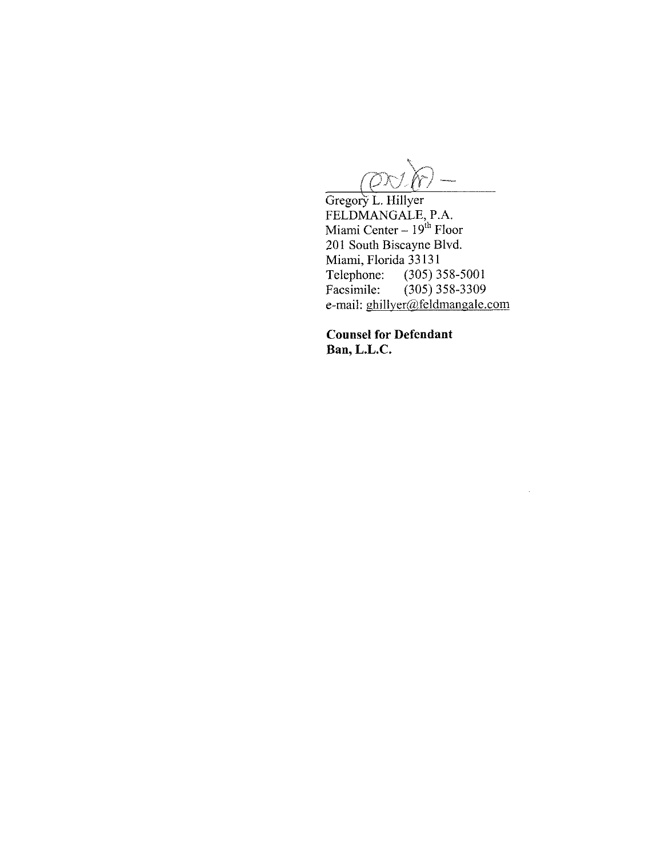$\widetilde{\rho}$ -<br>Ministrazio  $^{\prime}$ Kr

Gregory L. Hillyer FELDMANGALE, P.A.<br>Miami Center – 19<sup>th</sup> Floor 201 South Biscayne Blvd. Miami, Florida 33131<br>Telephone: (305) 3 Telephone: (305) 358-5001<br>Facsimile: (305) 358-3309  $(305)$  358-3309 e-mail: ghillyer@feldmangale.com

 $\sim$ 

**Counsel for Defendant Ban, L.L.C.**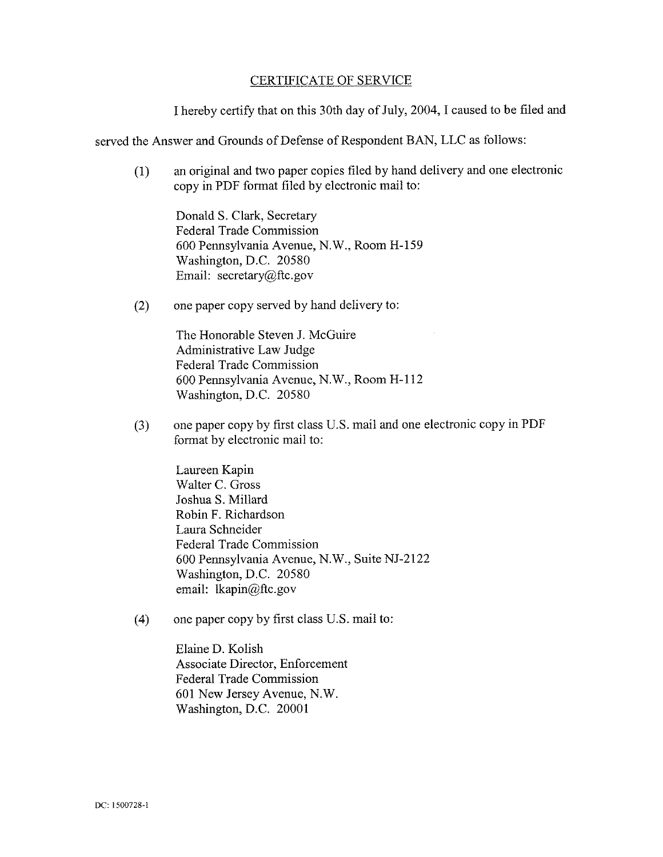### CERTIFICATE OF SERVICE

I hereby certify that on this 30th day of July, 2004, I caused to be filed and

served the Answer and Grounds of Defense of Respondent BAN, LLC as follows:

(1) an original and two paper copies filed by hand delivery and one electronic copy in PDF format filed by electronic mail to:

Donald S. Clark, Secretary Federal Trade Commission 600 Pennsylvania Avenue, N.W., Room H-159 Washington, D.C. 20580 Email: secretary@ftc.gov

(2) one paper copy served by hand delivery to:

The Honorable Steven J. McGuire Administrative Law Judge Federal Trade Commission 600 Pennsylvania Avenue, N.W., Room H-112 Washington, D.C. 20580

**(3)** one paper copy by first class U.S. mail and one electronic copy in PDF format by electronic mail to:

> Laureen Kapin Walter C. Gross Joshua S. Millard Robin F. Richardson Laura Schneider Federal Trade Commission 600 Pennsylvania Avenue, N.W., Suite NJ-2122 Washington, D.C. 20580 email: Ikapin@ftc.gov

(4) one paper copy by first class U.S. mail to:

Elaine D. Kolish Associate Director, Enforcement Federal Trade Commission 601 New Jersey Avenue, N.W. Washington, D.C. 20001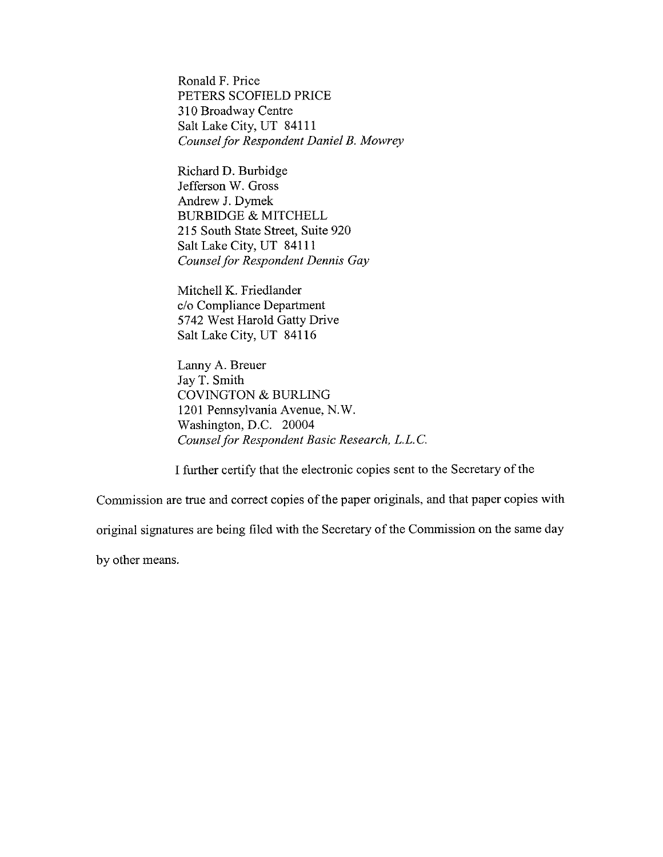Ronald F. Price PETERS SCOFIELD PRICE **3** 10 Broadway Centre Salt Lake City, UT 84111 *Counsel for Respondent Daniel B. Mowrey* 

Richard D. Burhidge Jefferson W. Gross Andrew J. Dymek BURBIDGE & MITCHELL 215 South State Street, Suite 920 Salt Lake City, UT 84111 *Counsel for Respondent Dennis Gay* 

Mitchell K. Friedlander c/o Compliance Department 5742 West Harold Gatty Drive Salt Lake City, UT 841 16

Lanny A. Breuer Jay T. Smith COVINGTON & BURLING 1201 Pennsylvania Avenue, N.W. Washington, D.C. 20004 *Counsel for Respondent Basic Research, L.L.C.* 

I further certify that the electronic copies sent to the Secretary of the

Commission are true and correct copies of the paper originals, and that paper copies with

original signatures are being filed with the Secretary of the Commission on the same day

by other means.